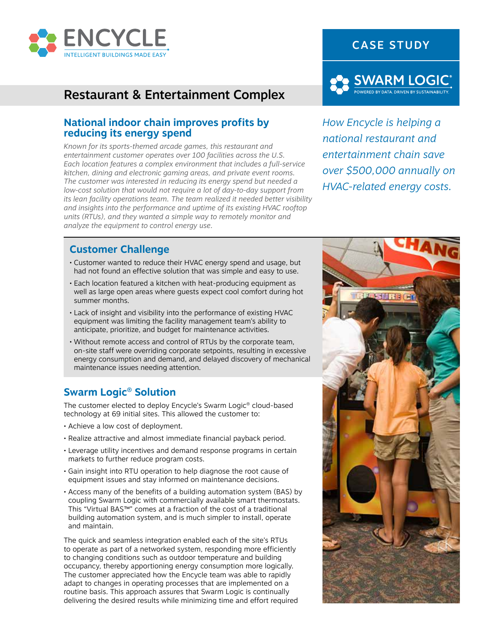

# Restaurant & Entertainment Complex

### **National indoor chain improves profits by reducing its energy spend**

*Known for its sports-themed arcade games, this restaurant and entertainment customer operates over 100 facilities across the U.S. Each location features a complex environment that includes a full-service kitchen, dining and electronic gaming areas, and private event rooms. The customer was interested in reducing its energy spend but needed a low-cost solution that would not require a lot of day-to-day support from its lean facility operations team. The team realized it needed better visibility and insights into the performance and uptime of its existing HVAC rooftop units (RTUs), and they wanted a simple way to remotely monitor and analyze the equipment to control energy use.* 



CASE STUDY

*How Encycle is helping a national restaurant and entertainment chain save over \$500,000 annually on HVAC-related energy costs.*

### **Customer Challenge**

- Customer wanted to reduce their HVAC energy spend and usage, but had not found an effective solution that was simple and easy to use.
- Each location featured a kitchen with heat-producing equipment as well as large open areas where guests expect cool comfort during hot summer months.
- Lack of insight and visibility into the performance of existing HVAC equipment was limiting the facility management team's ability to anticipate, prioritize, and budget for maintenance activities.
- Without remote access and control of RTUs by the corporate team, on-site staff were overriding corporate setpoints, resulting in excessive energy consumption and demand, and delayed discovery of mechanical maintenance issues needing attention.

## **Swarm Logic® Solution**

The customer elected to deploy Encycle's Swarm Logic® cloud-based technology at 69 initial sites. This allowed the customer to:

- Achieve a low cost of deployment.
- Realize attractive and almost immediate financial payback period.
- Leverage utility incentives and demand response programs in certain markets to further reduce program costs.
- Gain insight into RTU operation to help diagnose the root cause of equipment issues and stay informed on maintenance decisions.
- Access many of the benefits of a building automation system (BAS) by coupling Swarm Logic with commercially available smart thermostats. This "Virtual BAS™" comes at a fraction of the cost of a traditional building automation system, and is much simpler to install, operate and maintain.

The quick and seamless integration enabled each of the site's RTUs to operate as part of a networked system, responding more efficiently to changing conditions such as outdoor temperature and building occupancy, thereby apportioning energy consumption more logically. The customer appreciated how the Encycle team was able to rapidly adapt to changes in operating processes that are implemented on a routine basis. This approach assures that Swarm Logic is continually delivering the desired results while minimizing time and effort required